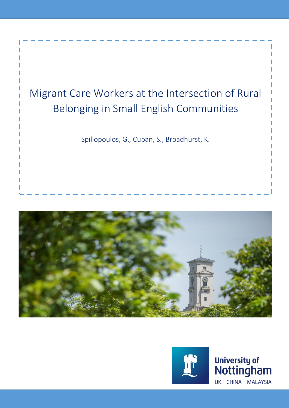





University of<br>Nottingham UK | CHINA | MALAYSIA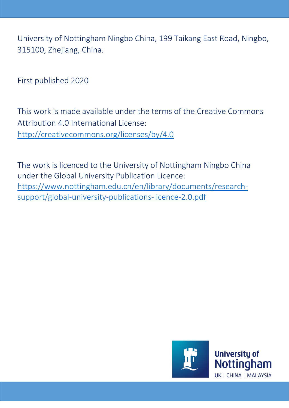University of Nottingham Ningbo China, 199 Taikang East Road, Ningbo, 315100, Zhejiang, China.

First published 2020

This work is made available under the terms of the Creative Commons Attribution 4.0 International License: <http://creativecommons.org/licenses/by/4.0>

The work is licenced to the University of Nottingham Ningbo China under the Global University Publication Licence: https://www.nottingham.edu.cn/en/library/documents/researchsupport/global-university-publications-licence-2.0.pdf

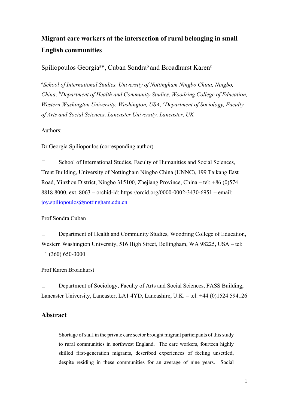# Migrant care workers at the intersection of rural belonging in small English communities

Spiliopoulos Georgia<sup>a\*</sup>, Cuban Sondra<sup>b</sup> and Broadhurst Karen<sup>c</sup>

<sup>a</sup>School of International Studies, University of Nottingham Ningbo China, Ningbo, China; <sup>b</sup>Department of Health and Community Studies, Woodring College of Education, Western Washington University, Washington, USA; <sup>c</sup>Department of Sociology, Faculty of Arts and Social Sciences, Lancaster University, Lancaster, UK

Authors:

Dr Georgia Spiliopoulos (corresponding author)

□ School of International Studies, Faculty of Humanities and Social Sciences, Trent Building, University of Nottingham Ningbo China (UNNC), 199 Taikang East Road, Yinzhou District, Ningbo 315100, Zhejiang Province, China – tel: +86 (0)574 8818 8000, ext. 8063 – orchid-id: https://orcid.org/0000-0002-3430-6951 – email: joy.spiliopoulos@nottingham.edu.cn

Prof Sondra Cuban

Department of Health and Community Studies, Woodring College of Education, Western Washington University, 516 High Street, Bellingham, WA 98225, USA – tel:  $+1$  (360) 650-3000

Prof Karen Broadhurst

Department of Sociology, Faculty of Arts and Social Sciences, FASS Building, Lancaster University, Lancaster, LA1 4YD, Lancashire, U.K. – tel: +44 (0)1524 594126

### Abstract

Shortage of staff in the private care sector brought migrant participants of this study to rural communities in northwest England. The care workers, fourteen highly skilled first-generation migrants, described experiences of feeling unsettled, despite residing in these communities for an average of nine years. Social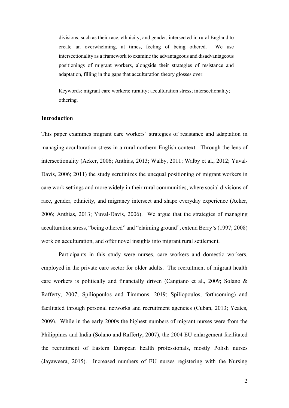divisions, such as their race, ethnicity, and gender, intersected in rural England to create an overwhelming, at times, feeling of being othered. We use intersectionality as a framework to examine the advantageous and disadvantageous positionings of migrant workers, alongside their strategies of resistance and adaptation, filling in the gaps that acculturation theory glosses over.

Keywords: migrant care workers; rurality; acculturation stress; intersectionality; othering.

### Introduction

This paper examines migrant care workers' strategies of resistance and adaptation in managing acculturation stress in a rural northern English context. Through the lens of intersectionality (Acker, 2006; Anthias, 2013; Walby, 2011; Walby et al., 2012; Yuval-Davis, 2006; 2011) the study scrutinizes the unequal positioning of migrant workers in care work settings and more widely in their rural communities, where social divisions of race, gender, ethnicity, and migrancy intersect and shape everyday experience (Acker, 2006; Anthias, 2013; Yuval-Davis, 2006). We argue that the strategies of managing acculturation stress, "being othered" and "claiming ground", extend Berry's (1997; 2008) work on acculturation, and offer novel insights into migrant rural settlement.

Participants in this study were nurses, care workers and domestic workers, employed in the private care sector for older adults. The recruitment of migrant health care workers is politically and financially driven (Cangiano et al., 2009; Solano & Rafferty, 2007; Spiliopoulos and Timmons, 2019; Spiliopoulos, forthcoming) and facilitated through personal networks and recruitment agencies (Cuban, 2013; Yeates, 2009). While in the early 2000s the highest numbers of migrant nurses were from the Philippines and India (Solano and Rafferty, 2007), the 2004 EU enlargement facilitated the recruitment of Eastern European health professionals, mostly Polish nurses (Jayaweera, 2015). Increased numbers of EU nurses registering with the Nursing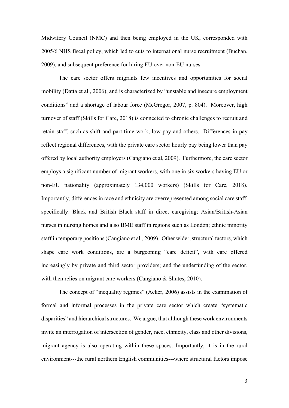Midwifery Council (NMC) and then being employed in the UK, corresponded with 2005/6 NHS fiscal policy, which led to cuts to international nurse recruitment (Buchan, 2009), and subsequent preference for hiring EU over non-EU nurses.

The care sector offers migrants few incentives and opportunities for social mobility (Datta et al., 2006), and is characterized by "unstable and insecure employment conditions" and a shortage of labour force (McGregor, 2007, p. 804). Moreover, high turnover of staff (Skills for Care, 2018) is connected to chronic challenges to recruit and retain staff, such as shift and part-time work, low pay and others. Differences in pay reflect regional differences, with the private care sector hourly pay being lower than pay offered by local authority employers (Cangiano et al, 2009). Furthermore, the care sector employs a significant number of migrant workers, with one in six workers having EU or non-EU nationality (approximately 134,000 workers) (Skills for Care, 2018). Importantly, differences in race and ethnicity are overrepresented among social care staff, specifically: Black and British Black staff in direct caregiving; Asian/British-Asian nurses in nursing homes and also BME staff in regions such as London; ethnic minority staff in temporary positions (Cangiano et al., 2009). Other wider, structural factors, which shape care work conditions, are a burgeoning "care deficit", with care offered increasingly by private and third sector providers; and the underfunding of the sector, with then relies on migrant care workers (Cangiano & Shutes, 2010).

The concept of "inequality regimes" (Acker, 2006) assists in the examination of formal and informal processes in the private care sector which create "systematic disparities" and hierarchical structures. We argue, that although these work environments invite an interrogation of intersection of gender, race, ethnicity, class and other divisions, migrant agency is also operating within these spaces. Importantly, it is in the rural environment---the rural northern English communities---where structural factors impose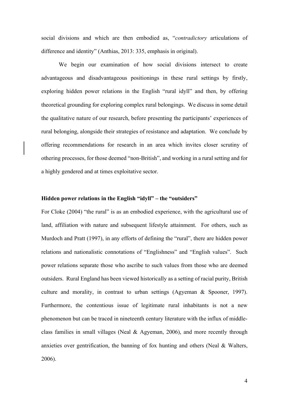social divisions and which are then embodied as, "contradictory articulations of difference and identity" (Anthias, 2013: 335, emphasis in original).

We begin our examination of how social divisions intersect to create advantageous and disadvantageous positionings in these rural settings by firstly, exploring hidden power relations in the English "rural idyll" and then, by offering theoretical grounding for exploring complex rural belongings. We discuss in some detail the qualitative nature of our research, before presenting the participants' experiences of rural belonging, alongside their strategies of resistance and adaptation. We conclude by offering recommendations for research in an area which invites closer scrutiny of othering processes, for those deemed "non-British", and working in a rural setting and for a highly gendered and at times exploitative sector.

### Hidden power relations in the English "idyll" – the "outsiders"

For Cloke (2004) "the rural" is as an embodied experience, with the agricultural use of land, affiliation with nature and subsequent lifestyle attainment. For others, such as Murdoch and Pratt (1997), in any efforts of defining the "rural", there are hidden power relations and nationalistic connotations of "Englishness" and "English values". Such power relations separate those who ascribe to such values from those who are deemed outsiders. Rural England has been viewed historically as a setting of racial purity, British culture and morality, in contrast to urban settings (Agyeman & Spooner, 1997). Furthermore, the contentious issue of legitimate rural inhabitants is not a new phenomenon but can be traced in nineteenth century literature with the influx of middleclass families in small villages (Neal & Agyeman, 2006), and more recently through anxieties over gentrification, the banning of fox hunting and others (Neal  $\&$  Walters, 2006).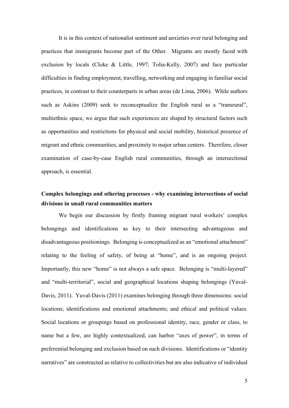It is in this context of nationalist sentiment and anxieties over rural belonging and practices that immigrants become part of the Other. Migrants are mostly faced with exclusion by locals (Cloke & Little, 1997; Tolia-Kelly, 2007) and face particular difficulties in finding employment, travelling, networking and engaging in familiar social practices, in contrast to their counterparts in urban areas (de Lima, 2006). While authors such as Askins (2009) seek to reconceptualize the English rural as a "transrural", multiethnic space, we argue that such experiences are shaped by structural factors such as opportunities and restrictions for physical and social mobility, historical presence of migrant and ethnic communities, and proximity to major urban centers. Therefore, closer examination of case-by-case English rural communities, through an intersectional approach, is essential.

### Complex belongings and othering processes - why examining intersections of social divisions in small rural communities matters

We begin our discussion by firstly framing migrant rural workers' complex belongings and identifications as key to their intersecting advantageous and disadvantageous positionings. Belonging is conceptualized as an "emotional attachment" relating to the feeling of safety, of being at "home", and is an ongoing project. Importantly, this new "home" is not always a safe space. Belonging is "multi-layered" and "multi-territorial", social and geographical locations shaping belongings (Yuval-Davis, 2011). Yuval-Davis (2011) examines belonging through three dimensions: social locations; identifications and emotional attachments; and ethical and political values. Social locations or groupings based on professional identity, race, gender or class, to name but a few, are highly contextualized, can harbor "axes of power", in terms of preferential belonging and exclusion based on such divisions. Identifications or "identity narratives" are constructed as relative to collectivities but are also indicative of individual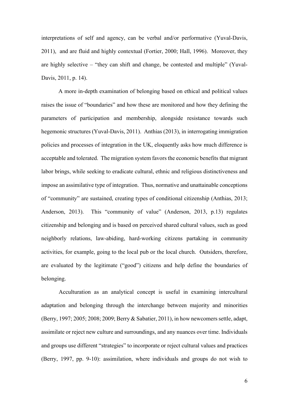interpretations of self and agency, can be verbal and/or performative (Yuval-Davis, 2011), and are fluid and highly contextual (Fortier, 2000; Hall, 1996). Moreover, they are highly selective – "they can shift and change, be contested and multiple" (Yuval-Davis, 2011, p. 14).

A more in-depth examination of belonging based on ethical and political values raises the issue of "boundaries" and how these are monitored and how they defining the parameters of participation and membership, alongside resistance towards such hegemonic structures (Yuval-Davis, 2011). Anthias (2013), in interrogating immigration policies and processes of integration in the UK, eloquently asks how much difference is acceptable and tolerated. The migration system favors the economic benefits that migrant labor brings, while seeking to eradicate cultural, ethnic and religious distinctiveness and impose an assimilative type of integration. Thus, normative and unattainable conceptions of "community" are sustained, creating types of conditional citizenship (Anthias, 2013; Anderson, 2013). This "community of value" (Anderson, 2013, p.13) regulates citizenship and belonging and is based on perceived shared cultural values, such as good neighborly relations, law-abiding, hard-working citizens partaking in community activities, for example, going to the local pub or the local church. Outsiders, therefore, are evaluated by the legitimate ("good") citizens and help define the boundaries of belonging.

 Acculturation as an analytical concept is useful in examining intercultural adaptation and belonging through the interchange between majority and minorities (Berry, 1997; 2005; 2008; 2009; Berry & Sabatier, 2011), in how newcomers settle, adapt, assimilate or reject new culture and surroundings, and any nuances over time. Individuals and groups use different "strategies" to incorporate or reject cultural values and practices (Berry, 1997, pp. 9-10): assimilation, where individuals and groups do not wish to

6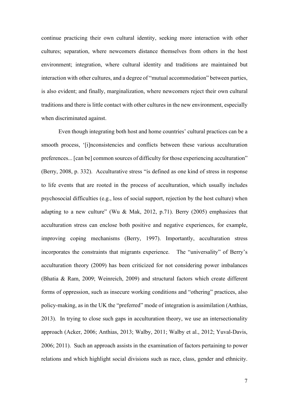continue practicing their own cultural identity, seeking more interaction with other cultures; separation, where newcomers distance themselves from others in the host environment; integration, where cultural identity and traditions are maintained but interaction with other cultures, and a degree of "mutual accommodation" between parties, is also evident; and finally, marginalization, where newcomers reject their own cultural traditions and there is little contact with other cultures in the new environment, especially when discriminated against.

Even though integrating both host and home countries' cultural practices can be a smooth process, '[i]nconsistencies and conflicts between these various acculturation preferences... [can be] common sources of difficulty for those experiencing acculturation" (Berry, 2008, p. 332). Acculturative stress "is defined as one kind of stress in response to life events that are rooted in the process of acculturation, which usually includes psychosocial difficulties (e.g., loss of social support, rejection by the host culture) when adapting to a new culture" (Wu & Mak, 2012, p.71). Berry (2005) emphasizes that acculturation stress can enclose both positive and negative experiences, for example, improving coping mechanisms (Berry, 1997). Importantly, acculturation stress incorporates the constraints that migrants experience. The "universality" of Berry's acculturation theory (2009) has been criticized for not considering power imbalances (Bhatia & Ram, 2009; Weinreich, 2009) and structural factors which create different forms of oppression, such as insecure working conditions and "othering" practices, also policy-making, as in the UK the "preferred" mode of integration is assimilation (Anthias, 2013). In trying to close such gaps in acculturation theory, we use an intersectionality approach (Acker, 2006; Anthias, 2013; Walby, 2011; Walby et al., 2012; Yuval-Davis, 2006; 2011). Such an approach assists in the examination of factors pertaining to power relations and which highlight social divisions such as race, class, gender and ethnicity.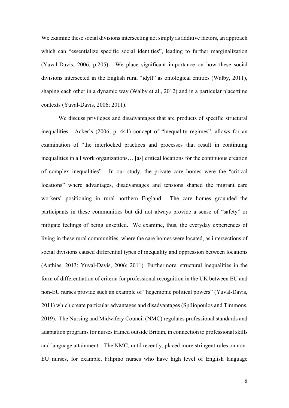We examine these social divisions intersecting not simply as additive factors, an approach which can "essentialize specific social identities", leading to further marginalization (Yuval-Davis, 2006, p.205). We place significant importance on how these social divisions intersected in the English rural "idyll" as ontological entities (Walby, 2011), shaping each other in a dynamic way (Walby et al., 2012) and in a particular place/time contexts (Yuval-Davis, 2006; 2011).

We discuss privileges and disadvantages that are products of specific structural inequalities. Acker's (2006, p. 441) concept of "inequality regimes", allows for an examination of "the interlocked practices and processes that result in continuing inequalities in all work organizations… [as] critical locations for the continuous creation of complex inequalities". In our study, the private care homes were the "critical locations" where advantages, disadvantages and tensions shaped the migrant care workers' positioning in rural northern England. The care homes grounded the participants in these communities but did not always provide a sense of "safety" or mitigate feelings of being unsettled. We examine, thus, the everyday experiences of living in these rural communities, where the care homes were located, as intersections of social divisions caused differential types of inequality and oppression between locations (Anthias, 2013; Yuval-Davis, 2006; 2011). Furthermore, structural inequalities in the form of differentiation of criteria for professional recognition in the UK between EU and non-EU nurses provide such an example of "hegemonic political powers" (Yuval-Davis, 2011) which create particular advantages and disadvantages (Spiliopoulos and Timmons, 2019). The Nursing and Midwifery Council (NMC) regulates professional standards and adaptation programs for nurses trained outside Britain, in connection to professional skills and language attainment. The NMC, until recently, placed more stringent rules on non-EU nurses, for example, Filipino nurses who have high level of English language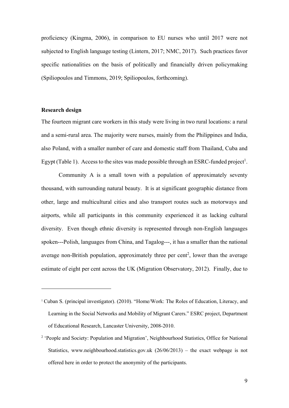proficiency (Kingma, 2006), in comparison to EU nurses who until 2017 were not subjected to English language testing (Lintern, 2017; NMC, 2017). Such practices favor specific nationalities on the basis of politically and financially driven policymaking (Spiliopoulos and Timmons, 2019; Spiliopoulos, forthcoming).

### Research design

The fourteen migrant care workers in this study were living in two rural locations: a rural and a semi-rural area. The majority were nurses, mainly from the Philippines and India, also Poland, with a smaller number of care and domestic staff from Thailand, Cuba and Egypt (Table 1). Access to the sites was made possible through an ESRC-funded project<sup>1</sup>.

Community A is a small town with a population of approximately seventy thousand, with surrounding natural beauty. It is at significant geographic distance from other, large and multicultural cities and also transport routes such as motorways and airports, while all participants in this community experienced it as lacking cultural diversity. Even though ethnic diversity is represented through non-English languages spoken---Polish, languages from China, and Tagalog---, it has a smaller than the national average non-British population, approximately three per cent<sup>2</sup>, lower than the average estimate of eight per cent across the UK (Migration Observatory, 2012). Finally, due to

<sup>1</sup> Cuban S. (principal investigator). (2010). "Home/Work: The Roles of Education, Literacy, and Learning in the Social Networks and Mobility of Migrant Carers." ESRC project, Department of Educational Research, Lancaster University, 2008-2010.

<sup>&</sup>lt;sup>2</sup> 'People and Society: Population and Migration', Neighbourhood Statistics, Office for National Statistics, www.neighbourhood.statistics.gov.uk (26/06/2013) – the exact webpage is not offered here in order to protect the anonymity of the participants.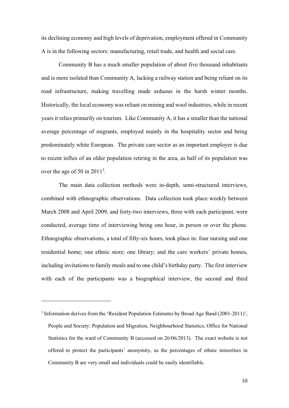its declining economy and high levels of deprivation, employment offered in Community A is in the following sectors: manufacturing, retail trade, and health and social care.

Community B has a much smaller population of about five thousand inhabitants and is more isolated than Community A, lacking a railway station and being reliant on its road infrastructure, making travelling made arduous in the harsh winter months. Historically, the local economy was reliant on mining and wool industries, while in recent years it relies primarily on tourism. Like Community A, it has a smaller than the national average percentage of migrants, employed mainly in the hospitality sector and being predominately white European. The private care sector as an important employer is due to recent influx of an older population retiring in the area, as half of its population was over the age of 50 in  $2011<sup>3</sup>$ .

The main data collection methods were in-depth, semi-structured interviews, combined with ethnographic observations. Data collection took place weekly between March 2008 and April 2009, and forty-two interviews, three with each participant, were conducted, average time of interviewing being one hour, in person or over the phone. Ethnographic observations, a total of fifty-six hours, took place in: four nursing and one residential home; one ethnic store; one library; and the care workers' private homes, including invitations to family meals and to one child's birthday party. The first interview with each of the participants was a biographical interview, the second and third

 $3$  Information derives from the 'Resident Population Estimates by Broad Age Band (2001-2011)', People and Society: Population and Migration, Neighbourhood Statistics, Office for National Statistics for the ward of Community B (accessed on 26/06/2013). The exact website is not offered to protect the participants' anonymity, as the percentages of ethnic minorities in Community B are very small and individuals could be easily identifiable.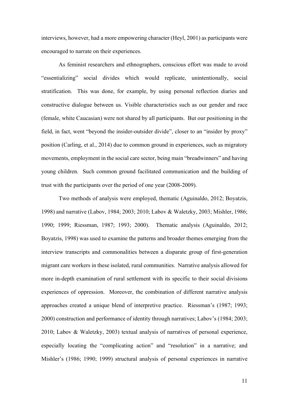interviews, however, had a more empowering character (Heyl, 2001) as participants were encouraged to narrate on their experiences.

As feminist researchers and ethnographers, conscious effort was made to avoid "essentializing" social divides which would replicate, unintentionally, social stratification. This was done, for example, by using personal reflection diaries and constructive dialogue between us. Visible characteristics such as our gender and race (female, white Caucasian) were not shared by all participants. But our positioning in the field, in fact, went "beyond the insider-outsider divide", closer to an "insider by proxy" position (Carling, et al., 2014) due to common ground in experiences, such as migratory movements, employment in the social care sector, being main "breadwinners" and having young children. Such common ground facilitated communication and the building of trust with the participants over the period of one year (2008-2009).

Two methods of analysis were employed, thematic (Aguinaldo, 2012; Boyatzis, 1998) and narrative (Labov, 1984; 2003; 2010; Labov & Waletzky, 2003; Mishler, 1986; 1990; 1999; Riessman, 1987; 1993; 2000). Thematic analysis (Aguinaldo, 2012; Boyatzis, 1998) was used to examine the patterns and broader themes emerging from the interview transcripts and commonalities between a disparate group of first-generation migrant care workers in these isolated, rural communities. Narrative analysis allowed for more in-depth examination of rural settlement with its specific to their social divisions experiences of oppression. Moreover, the combination of different narrative analysis approaches created a unique blend of interpretive practice. Riessman's (1987; 1993; 2000) construction and performance of identity through narratives; Labov's (1984; 2003; 2010; Labov & Waletzky, 2003) textual analysis of narratives of personal experience, especially locating the "complicating action" and "resolution" in a narrative; and Mishler's (1986; 1990; 1999) structural analysis of personal experiences in narrative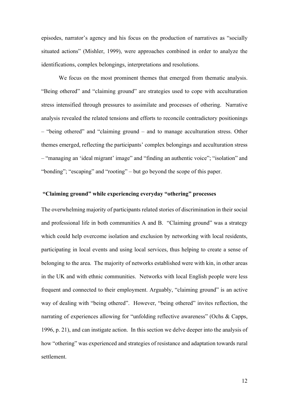episodes, narrator's agency and his focus on the production of narratives as "socially situated actions" (Mishler, 1999), were approaches combined in order to analyze the identifications, complex belongings, interpretations and resolutions.

We focus on the most prominent themes that emerged from thematic analysis. "Being othered" and "claiming ground" are strategies used to cope with acculturation stress intensified through pressures to assimilate and processes of othering. Narrative analysis revealed the related tensions and efforts to reconcile contradictory positionings – "being othered" and "claiming ground – and to manage acculturation stress. Other themes emerged, reflecting the participants' complex belongings and acculturation stress – "managing an 'ideal migrant' image" and "finding an authentic voice"; "isolation" and "bonding"; "escaping" and "rooting" – but go beyond the scope of this paper.

### "Claiming ground" while experiencing everyday "othering" processes

The overwhelming majority of participants related stories of discrimination in their social and professional life in both communities A and B. "Claiming ground" was a strategy which could help overcome isolation and exclusion by networking with local residents, participating in local events and using local services, thus helping to create a sense of belonging to the area. The majority of networks established were with kin, in other areas in the UK and with ethnic communities. Networks with local English people were less frequent and connected to their employment. Arguably, "claiming ground" is an active way of dealing with "being othered". However, "being othered" invites reflection, the narrating of experiences allowing for "unfolding reflective awareness" (Ochs & Capps, 1996, p. 21), and can instigate action. In this section we delve deeper into the analysis of how "othering" was experienced and strategies of resistance and adaptation towards rural settlement.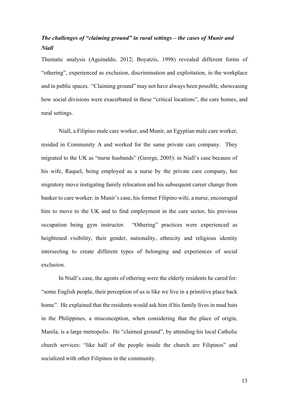## The challenges of "claiming ground" in rural settings – the cases of Munir and Niall

Thematic analysis (Aguinaldo, 2012; Boyatzis, 1998) revealed different forms of "othering", experienced as exclusion, discrimination and exploitation, in the workplace and in public spaces. "Claiming ground" may not have always been possible, showcasing how social divisions were exacerbated in these "critical locations", the care homes, and rural settings.

 Niall, a Filipino male care worker, and Munir, an Egyptian male care worker, resided in Community A and worked for the same private care company. They migrated to the UK as "nurse husbands" (George, 2005): in Niall's case because of his wife, Raquel, being employed as a nurse by the private care company, her migratory move instigating family relocation and his subsequent career change from banker to care worker; in Munir's case, his former Filipino wife, a nurse, encouraged him to move to the UK and to find employment in the care sector, his previous occupation being gym instructor. "Othering" practices were experienced as heightened visibility, their gender, nationality, ethnicity and religious identity intersecting to create different types of belonging and experiences of social exclusion.

 In Niall's case, the agents of othering were the elderly residents he cared for: "some English people, their perception of us is like we live in a primitive place back home". He explained that the residents would ask him if his family lives in mud huts in the Philippines, a misconception, when considering that the place of origin, Manila, is a large metropolis. He "claimed ground", by attending his local Catholic church services: "like half of the people inside the church are Filipinos" and socialized with other Filipinos in the community.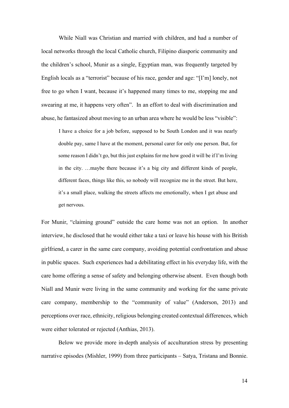While Niall was Christian and married with children, and had a number of local networks through the local Catholic church, Filipino diasporic community and the children's school, Munir as a single, Egyptian man, was frequently targeted by English locals as a "terrorist" because of his race, gender and age: "[I'm] lonely, not free to go when I want, because it's happened many times to me, stopping me and swearing at me, it happens very often". In an effort to deal with discrimination and abuse, he fantasized about moving to an urban area where he would be less "visible":

I have a choice for a job before, supposed to be South London and it was nearly double pay, same I have at the moment, personal carer for only one person. But, for some reason I didn't go, but this just explains for me how good it will be if I'm living in the city. …maybe there because it's a big city and different kinds of people, different faces, things like this, so nobody will recognize me in the street. But here, it's a small place, walking the streets affects me emotionally, when I get abuse and get nervous.

For Munir, "claiming ground" outside the care home was not an option. In another interview, he disclosed that he would either take a taxi or leave his house with his British girlfriend, a carer in the same care company, avoiding potential confrontation and abuse in public spaces. Such experiences had a debilitating effect in his everyday life, with the care home offering a sense of safety and belonging otherwise absent. Even though both Niall and Munir were living in the same community and working for the same private care company, membership to the "community of value" (Anderson, 2013) and perceptions over race, ethnicity, religious belonging created contextual differences, which were either tolerated or rejected (Anthias, 2013).

Below we provide more in-depth analysis of acculturation stress by presenting narrative episodes (Mishler, 1999) from three participants – Satya, Tristana and Bonnie.

14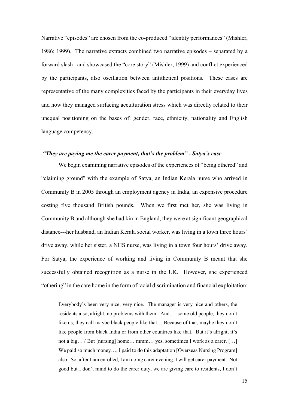Narrative "episodes" are chosen from the co-produced "identity performances" (Mishler, 1986; 1999). The narrative extracts combined two narrative episodes – separated by a forward slash –and showcased the "core story" (Mishler, 1999) and conflict experienced by the participants, also oscillation between antithetical positions. These cases are representative of the many complexities faced by the participants in their everyday lives and how they managed surfacing acculturation stress which was directly related to their unequal positioning on the bases of: gender, race, ethnicity, nationality and English language competency.

### "They are paying me the carer payment, that's the problem" - Satya's case

We begin examining narrative episodes of the experiences of "being othered" and "claiming ground" with the example of Satya, an Indian Kerala nurse who arrived in Community B in 2005 through an employment agency in India, an expensive procedure costing five thousand British pounds. When we first met her, she was living in Community B and although she had kin in England, they were at significant geographical distance---her husband, an Indian Kerala social worker, was living in a town three hours' drive away, while her sister, a NHS nurse, was living in a town four hours' drive away. For Satya, the experience of working and living in Community B meant that she successfully obtained recognition as a nurse in the UK. However, she experienced "othering" in the care home in the form of racial discrimination and financial exploitation:

Everybody's been very nice, very nice. The manager is very nice and others, the residents also, alright, no problems with them. And… some old people, they don't like us, they call maybe black people like that… Because of that, maybe they don't like people from black India or from other countries like that. But it's alright, it's not a big… / But [nursing] home… mmm… yes, sometimes I work as a carer. […] We paid so much money..., I paid to do this adaptation [Overseas Nursing Program] also. So, after I am enrolled, I am doing carer evening, I will get carer payment. Not good but I don't mind to do the carer duty, we are giving care to residents, I don't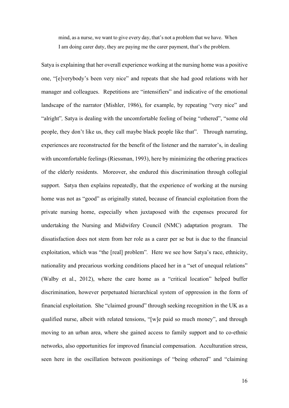mind, as a nurse, we want to give every day, that's not a problem that we have. When I am doing carer duty, they are paying me the carer payment, that's the problem.

Satya is explaining that her overall experience working at the nursing home was a positive one, "[e]verybody's been very nice" and repeats that she had good relations with her manager and colleagues. Repetitions are "intensifiers" and indicative of the emotional landscape of the narrator (Mishler, 1986), for example, by repeating "very nice" and "alright", Satya is dealing with the uncomfortable feeling of being "othered", "some old people, they don't like us, they call maybe black people like that". Through narrating, experiences are reconstructed for the benefit of the listener and the narrator's, in dealing with uncomfortable feelings (Riessman, 1993), here by minimizing the othering practices of the elderly residents. Moreover, she endured this discrimination through collegial support. Satya then explains repeatedly, that the experience of working at the nursing home was not as "good" as originally stated, because of financial exploitation from the private nursing home, especially when juxtaposed with the expenses procured for undertaking the Nursing and Midwifery Council (NMC) adaptation program. The dissatisfaction does not stem from her role as a carer per se but is due to the financial exploitation, which was "the [real] problem". Here we see how Satya's race, ethnicity, nationality and precarious working conditions placed her in a "set of unequal relations" (Walby et al., 2012), where the care home as a "critical location" helped buffer discrimination, however perpetuated hierarchical system of oppression in the form of financial exploitation. She "claimed ground" through seeking recognition in the UK as a qualified nurse, albeit with related tensions, "[w]e paid so much money", and through moving to an urban area, where she gained access to family support and to co-ethnic networks, also opportunities for improved financial compensation. Acculturation stress, seen here in the oscillation between positionings of "being othered" and "claiming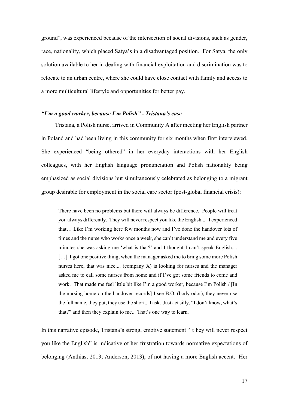ground", was experienced because of the intersection of social divisions, such as gender, race, nationality, which placed Satya's in a disadvantaged position. For Satya, the only solution available to her in dealing with financial exploitation and discrimination was to relocate to an urban centre, where she could have close contact with family and access to a more multicultural lifestyle and opportunities for better pay.

#### "I'm a good worker, because I'm Polish" - Tristana's case

Tristana, a Polish nurse, arrived in Community A after meeting her English partner in Poland and had been living in this community for six months when first interviewed. She experienced "being othered" in her everyday interactions with her English colleagues, with her English language pronunciation and Polish nationality being emphasized as social divisions but simultaneously celebrated as belonging to a migrant group desirable for employment in the social care sector (post-global financial crisis):

There have been no problems but there will always be difference. People will treat you always differently. They will never respect you like the English.... I experienced that… Like I'm working here few months now and I've done the handover lots of times and the nurse who works once a week, she can't understand me and every five minutes she was asking me 'what is that?' and I thought I can't speak English.... [...] I got one positive thing, when the manager asked me to bring some more Polish nurses here, that was nice.... (company X) is looking for nurses and the manager asked me to call some nurses from home and if I've got some friends to come and work. That made me feel little bit like I'm a good worker, because I'm Polish / [In the nursing home on the handover records] I see B.O. (body odor), they never use the full name, they put, they use the short... I ask. Just act silly, "I don't know, what's that?" and then they explain to me... That's one way to learn.

In this narrative episode, Tristana's strong, emotive statement "[t]hey will never respect you like the English" is indicative of her frustration towards normative expectations of belonging (Anthias, 2013; Anderson, 2013), of not having a more English accent. Her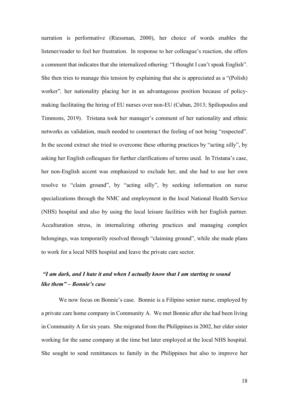narration is performative (Riessman, 2000), her choice of words enables the listener/reader to feel her frustration. In response to her colleague's reaction, she offers a comment that indicates that she internalized othering: "I thought I can't speak English". She then tries to manage this tension by explaining that she is appreciated as a "(Polish) worker", her nationality placing her in an advantageous position because of policymaking facilitating the hiring of EU nurses over non-EU (Cuban, 2013; Spiliopoulos and Timmons, 2019). Tristana took her manager's comment of her nationality and ethnic networks as validation, much needed to counteract the feeling of not being "respected". In the second extract she tried to overcome these othering practices by "acting silly", by asking her English colleagues for further clarifications of terms used. In Tristana's case, her non-English accent was emphasized to exclude her, and she had to use her own resolve to "claim ground", by "acting silly", by seeking information on nurse specializations through the NMC and employment in the local National Health Service (NHS) hospital and also by using the local leisure facilities with her English partner. Acculturation stress, in internalizing othering practices and managing complex belongings, was temporarily resolved through "claiming ground", while she made plans to work for a local NHS hospital and leave the private care sector.

## "I am dark, and I hate it and when I actually know that I am starting to sound like them" – Bonnie's case

We now focus on Bonnie's case. Bonnie is a Filipino senior nurse, employed by a private care home company in Community A. We met Bonnie after she had been living in Community A for six years. She migrated from the Philippines in 2002, her elder sister working for the same company at the time but later employed at the local NHS hospital. She sought to send remittances to family in the Philippines but also to improve her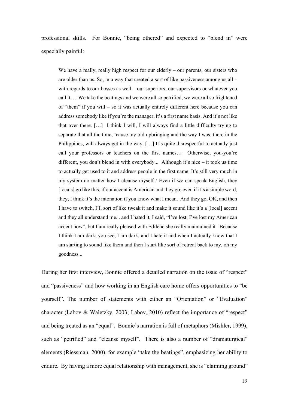professional skills. For Bonnie, "being othered" and expected to "blend in" were especially painful:

We have a really, really high respect for our elderly – our parents, our sisters who are older than us. So, in a way that created a sort of like passiveness among us all – with regards to our bosses as well – our superiors, our supervisors or whatever you call it. …We take the beatings and we were all so petrified, we were all so frightened of "them" if you will – so it was actually entirely different here because you can address somebody like if you're the manager, it's a first name basis. And it's not like that over there. […] I think I will, I will always find a little difficulty trying to separate that all the time, 'cause my old upbringing and the way I was, there in the Philippines, will always get in the way. […] It's quite disrespectful to actually just call your professors or teachers on the first names… Otherwise, you-you're different, you don't blend in with everybody... Although it's nice – it took us time to actually get used to it and address people in the first name. It's still very much in my system no matter how I cleanse myself / Even if we can speak English, they [locals] go like this, if our accent is American and they go, even if it's a simple word, they, I think it's the intonation if you know what I mean. And they go, OK, and then I have to switch, I'll sort of like tweak it and make it sound like it's a [local] accent and they all understand me... and I hated it, I said, "I've lost, I've lost my American accent now", but I am really pleased with Edilene she really maintained it. Because I think I am dark, you see, I am dark, and I hate it and when I actually know that I am starting to sound like them and then I start like sort of retreat back to my, oh my goodness...

During her first interview, Bonnie offered a detailed narration on the issue of "respect" and "passiveness" and how working in an English care home offers opportunities to "be yourself". The number of statements with either an "Orientation" or "Evaluation" character (Labov & Waletzky, 2003; Labov, 2010) reflect the importance of "respect" and being treated as an "equal". Bonnie's narration is full of metaphors (Mishler, 1999), such as "petrified" and "cleanse myself". There is also a number of "dramaturgical" elements (Riessman, 2000), for example "take the beatings", emphasizing her ability to endure. By having a more equal relationship with management, she is "claiming ground"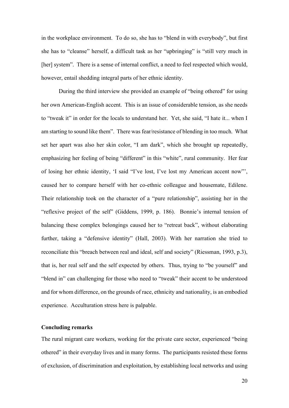in the workplace environment. To do so, she has to "blend in with everybody", but first she has to "cleanse" herself, a difficult task as her "upbringing" is "still very much in [her] system". There is a sense of internal conflict, a need to feel respected which would, however, entail shedding integral parts of her ethnic identity.

During the third interview she provided an example of "being othered" for using her own American-English accent. This is an issue of considerable tension, as she needs to "tweak it" in order for the locals to understand her. Yet, she said, "I hate it... when I am starting to sound like them". There was fear/resistance of blending in too much. What set her apart was also her skin color, "I am dark", which she brought up repeatedly, emphasizing her feeling of being "different" in this "white", rural community. Her fear of losing her ethnic identity, 'I said "I've lost, I've lost my American accent now"', caused her to compare herself with her co-ethnic colleague and housemate, Edilene. Their relationship took on the character of a "pure relationship", assisting her in the "reflexive project of the self" (Giddens, 1999, p. 186). Bonnie's internal tension of balancing these complex belongings caused her to "retreat back", without elaborating further, taking a "defensive identity" (Hall, 2003). With her narration she tried to reconciliate this "breach between real and ideal, self and society" (Riessman, 1993, p.3), that is, her real self and the self expected by others. Thus, trying to "be yourself" and "blend in" can challenging for those who need to "tweak" their accent to be understood and for whom difference, on the grounds of race, ethnicity and nationality, is an embodied experience. Acculturation stress here is palpable.

### Concluding remarks

The rural migrant care workers, working for the private care sector, experienced "being othered" in their everyday lives and in many forms. The participants resisted these forms of exclusion, of discrimination and exploitation, by establishing local networks and using

20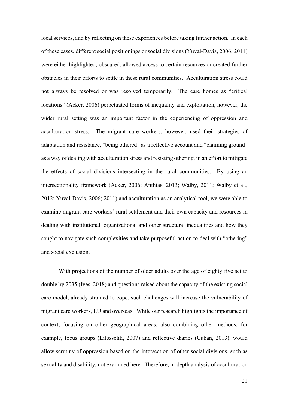local services, and by reflecting on these experiences before taking further action. In each of these cases, different social positionings or social divisions (Yuval-Davis, 2006; 2011) were either highlighted, obscured, allowed access to certain resources or created further obstacles in their efforts to settle in these rural communities. Acculturation stress could not always be resolved or was resolved temporarily. The care homes as "critical locations" (Acker, 2006) perpetuated forms of inequality and exploitation, however, the wider rural setting was an important factor in the experiencing of oppression and acculturation stress. The migrant care workers, however, used their strategies of adaptation and resistance, "being othered" as a reflective account and "claiming ground" as a way of dealing with acculturation stress and resisting othering, in an effort to mitigate the effects of social divisions intersecting in the rural communities. By using an intersectionality framework (Acker, 2006; Anthias, 2013; Walby, 2011; Walby et al., 2012; Yuval-Davis, 2006; 2011) and acculturation as an analytical tool, we were able to examine migrant care workers' rural settlement and their own capacity and resources in dealing with institutional, organizational and other structural inequalities and how they sought to navigate such complexities and take purposeful action to deal with "othering" and social exclusion.

With projections of the number of older adults over the age of eighty five set to double by 2035 (Ives, 2018) and questions raised about the capacity of the existing social care model, already strained to cope, such challenges will increase the vulnerability of migrant care workers, EU and overseas. While our research highlights the importance of context, focusing on other geographical areas, also combining other methods, for example, focus groups (Litosseliti, 2007) and reflective diaries (Cuban, 2013), would allow scrutiny of oppression based on the intersection of other social divisions, such as sexuality and disability, not examined here. Therefore, in-depth analysis of acculturation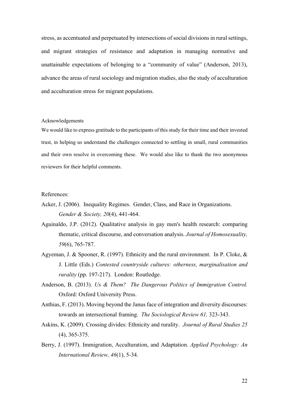stress, as accentuated and perpetuated by intersections of social divisions in rural settings, and migrant strategies of resistance and adaptation in managing normative and unattainable expectations of belonging to a "community of value" (Anderson, 2013), advance the areas of rural sociology and migration studies, also the study of acculturation and acculturation stress for migrant populations.

#### Acknowledgements

We would like to express gratitude to the participants of this study for their time and their invested trust, in helping us understand the challenges connected to settling in small, rural communities and their own resolve in overcoming these. We would also like to thank the two anonymous reviewers for their helpful comments.

### References:

- Acker, J. (2006). Inequality Regimes. Gender, Class, and Race in Organizations. Gender & Society, 20(4), 441-464.
- Aguinaldo, J.P. (2012). Qualitative analysis in gay men's health research: comparing thematic, critical discourse, and conversation analysis. Journal of Homosexuality, 59(6), 765-787.
- Agyeman, J. & Spooner, R. (1997). Ethnicity and the rural environment. In P. Cloke, & J. Little (Eds.) Contested countryside cultures: otherness, marginalisation and rurality (pp. 197-217). London: Routledge.
- Anderson, B. (2013). Us & Them? The Dangerous Politics of Immigration Control. Oxford: Oxford University Press.
- Anthias, F. (2013). Moving beyond the Janus face of integration and diversity discourses: towards an intersectional framing. The Sociological Review 61, 323-343.
- Askins, K. (2009). Crossing divides: Ethnicity and rurality. Journal of Rural Studies 25 (4), 365-375.
- Berry, J. (1997). Immigration, Acculturation, and Adaptation. Applied Psychology: An International Review, 46(1), 5-34.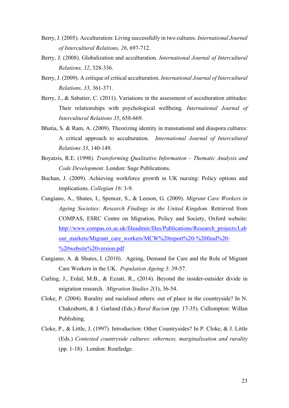- Berry, J. (2005). Acculturation: Living successfully in two cultures. International Journal of Intercultural Relations, 26, 697-712.
- Berry, J. (2008). Globalization and acculturation. International Journal of Intercultural Relations, 32, 328-336.
- Berry, J. (2009). A critique of critical acculturation. International Journal of Intercultural Relations, 33, 361-371.
- Berry, J., & Sabatier, C. (2011). Variations in the assessment of acculturation attitudes: Their relationships with psychological wellbeing. International Journal of Intercultural Relations 35, 658-669.
- Bhatia, S. & Ram, A. (2009). Theorizing identity in transnational and diaspora cultures: A critical approach to acculturation. International Journal of Intercultural Relations 33, 140-149.
- Boyatzis, R.E. (1998). Transforming Qualitative Information Thematic Analysis and Code Development. London: Sage Publications.
- Buchan, J. (2009). Achieving workforce growth in UK nursing: Policy options and implications. Collegian 16: 3-9.
- Cangiano, A., Shutes, I., Spencer, S., & Leeson, G. (2009). Migrant Care Workers in Ageing Societies: Research Findings in the United Kingdom. Retrieved from COMPAS, ESRC Centre on Migration, Policy and Society, Oxford website: http://www.compas.ox.ac.uk/fileadmin/files/Publications/Research\_projects/Lab our\_markets/Migrant\_care\_workers/MCW%20report%20-%20final%20-%20website%20version.pdf
- Cangiano, A. & Shutes, I. (2010). Ageing, Demand for Care and the Role of Migrant Care Workers in the UK. Population Ageing 3: 39-57.
- Carling, J., Erdal, M.B., & Ezzati, R., (2014). Beyond the insider-outsider divide in migration research. Migration Studies 2(1), 36-54.
- Cloke, P. (2004). Rurality and racialised others: out of place in the countryside? In N. Chakraborti, & J. Garland (Eds.) Rural Racism (pp. 17-35). Cullompton: Willan Publishing.
- Cloke, P., & Little, J. (1997). Introduction: Other Countrysides? In P. Cloke, & J. Little (Eds.) Contested countryside cultures: otherness, marginalisation and rurality (pp. 1-18). London: Routledge.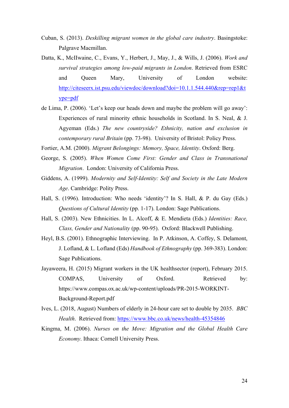- Cuban, S. (2013). Deskilling migrant women in the global care industry. Basingstoke: Palgrave Macmillan.
- Datta, K., McIIwaine, C., Evans, Y., Herbert, J., May, J., & Wills, J. (2006). Work and survival strategies among low-paid migrants in London. Retrieved from ESRC and Queen Mary, University of London website: http://citeseerx.ist.psu.edu/viewdoc/download?doi=10.1.1.544.440&rep=rep1&t ype=pdf
- de Lima, P. (2006). 'Let's keep our heads down and maybe the problem will go away': Experiences of rural minority ethnic households in Scotland. In S. Neal, & J. Agyeman (Eds.) The new countryside? Ethnicity, nation and exclusion in contemporary rural Britain (pp. 73-98). University of Bristol: Policy Press.
- Fortier, A.M. (2000). Migrant Belongings: Memory, Space, Identity. Oxford: Berg.
- George, S. (2005). When Women Come First: Gender and Class in Transnational Migration. London: University of California Press.
- Giddens, A. (1999). Modernity and Self-Identity: Self and Society in the Late Modern Age. Cambridge: Polity Press.
- Hall, S. (1996). Introduction: Who needs 'identity'? In S. Hall, & P. du Gay (Eds.) Questions of Cultural Identity (pp. 1-17). London: Sage Publications.
- Hall, S. (2003). New Ethnicities. In L. Alcoff, & E. Mendieta (Eds.) Identities: Race, Class, Gender and Nationality (pp. 90-95). Oxford: Blackwell Publishing.
- Heyl, B.S. (2001). Ethnographic Interviewing. In P. Atkinson, A. Coffey, S. Delamont, J. Lofland, & L. Lofland (Eds) Handbook of Ethnography (pp. 369-383). London: Sage Publications.
- Jayaweera, H. (2015) Migrant workers in the UK healthsector (report), February 2015. COMPAS, University of Oxford. Retrieved by: https://www.compas.ox.ac.uk/wp-content/uploads/PR-2015-WORKINT-Background-Report.pdf
- Ives, L. (2018, August) Numbers of elderly in 24-hour care set to double by 2035. BBC Health. Retrieved from: https://www.bbc.co.uk/news/health-45354846
- Kingma, M. (2006). Nurses on the Move: Migration and the Global Health Care Economy. Ithaca: Cornell University Press.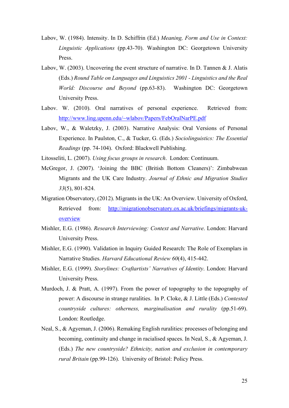- Labov, W. (1984). Intensity. In D. Schiffrin (Ed.) Meaning, Form and Use in Context: Linguistic Applications (pp.43-70). Washington DC: Georgetown University Press.
- Labov, W. (2003). Uncovering the event structure of narrative. In D. Tannen & J. Alatis (Eds.) Round Table on Languages and Linguistics 2001 - Linguistics and the Real World: Discourse and Beyond (pp.63-83). Washington DC: Georgetown University Press.
- Labov. W. (2010). Oral narratives of personal experience. Retrieved from: http://www.ling.upenn.edu/~wlabov/Papers/FebOralNarPE.pdf
- Labov, W., & Waletzky, J. (2003). Narrative Analysis: Oral Versions of Personal Experience. In Paulston, C., & Tucker, G. (Eds.) Sociolinguistics: The Essential Readings (pp. 74-104). Oxford: Blackwell Publishing.

Litosseliti, L. (2007). Using focus groups in research. London: Continuum.

- McGregor, J. (2007). 'Joining the BBC (British Bottom Cleaners)': Zimbabwean Migrants and the UK Care Industry. Journal of Ethnic and Migration Studies 33(5), 801-824.
- Migration Observatory, (2012). Migrants in the UK: An Overview. University of Oxford, Retrieved from: http://migrationobservatory.ox.ac.uk/briefings/migrants-ukoverview
- Mishler, E.G. (1986). Research Interviewing: Context and Narrative. London: Harvard University Press.
- Mishler, E.G. (1990). Validation in Inquiry Guided Research: The Role of Exemplars in Narrative Studies. Harvard Educational Review 60(4), 415-442.
- Mishler, E.G. (1999). Storylines: Craftartists' Narratives of Identity. London: Harvard University Press.
- Murdoch, J. & Pratt, A. (1997). From the power of topography to the topography of power: A discourse in strange ruralities. In P. Cloke, & J. Little (Eds.) Contested countryside cultures: otherness, marginalisation and rurality (pp.51-69). London: Routledge.
- Neal, S., & Agyeman, J. (2006). Remaking English ruralities: processes of belonging and becoming, continuity and change in racialised spaces. In Neal, S., & Agyeman, J. (Eds.) The new countryside? Ethnicity, nation and exclusion in contemporary rural Britain (pp.99-126). University of Bristol: Policy Press.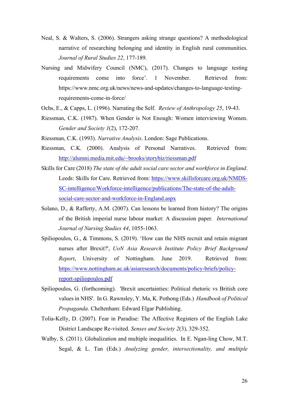- Neal, S. & Walters, S. (2006). Strangers asking strange questions? A methodological narrative of researching belonging and identity in English rural communities. Journal of Rural Studies 22, 177-189.
- Nursing and Midwifery Council (NMC), (2017). Changes to language testing requirements come into force'. 1 November. Retrieved from: https://www.nmc.org.uk/news/news-and-updates/changes-to-language-testingrequirements-come-in-force/
- Ochs, E., & Capps, L. (1996). Narrating the Self. Review of Anthropology 25, 19-43.
- Riessman, C.K. (1987). When Gender is Not Enough: Women interviewing Women. Gender and Society 1(2), 172-207.
- Riessman, C.K. (1993). Narrative Analysis. London: Sage Publications.
- Riessman, C.K. (2000). Analysis of Personal Narratives. Retrieved from: http://alumni.media.mit.edu/~brooks/storybiz/riessman.pdf
- Skills for Care (2018) The state of the adult social care sector and workforce in England. Leeds: Skills for Care. Retrieved from: https://www.skillsforcare.org.uk/NMDS-SC-intelligence/Workforce-intelligence/publications/The-state-of-the-adultsocial-care-sector-and-workforce-in-England.aspx
- Solano, D., & Rafferty, A.M. (2007). Can lessons be learned from history? The origins of the British imperial nurse labour market: A discussion paper. International Journal of Nursing Studies 44, 1055-1063.
- Spiliopoulos, G., & Timmons, S. (2019). 'How can the NHS recruit and retain migrant nurses after Brexit?', UoN Asia Research Institute Policy Brief Background Report, University of Nottingham. June 2019. Retrieved from: https://www.nottingham.ac.uk/asiaresearch/documents/policy-briefs/policyreport-spiliopoulos.pdf
- Spiliopoulos, G. (forthcoming). 'Brexit uncertainties: Political rhetoric vs British core values in NHS'. In G. Rawnsley, Y. Ma, K. Pothong (Eds.) Handbook of Political Propaganda. Cheltenham: Edward Elgar Publishing.
- Tolia-Kelly, D. (2007). Fear in Paradise: The Affective Registers of the English Lake District Landscape Re-visited. Senses and Society 2(3), 329-352.
- Walby, S. (2011). Globalization and multiple inequalities. In E. Ngan-ling Chow, M.T. Segal, & L. Tan (Eds.) Analyzing gender, intersectionality, and multiple